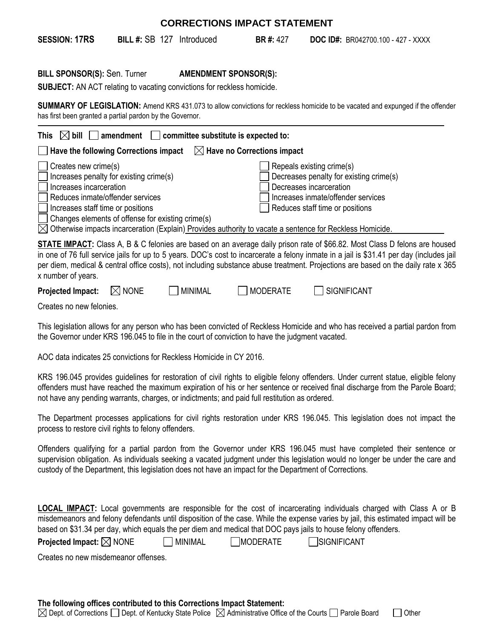| <b>CORRECTIONS IMPACT STATEMENT</b>                                                                                                                                                                                      |                  |                                                         |                                        |                                                                                                                                                                                                                                                                                                                                                                                                                    |  |
|--------------------------------------------------------------------------------------------------------------------------------------------------------------------------------------------------------------------------|------------------|---------------------------------------------------------|----------------------------------------|--------------------------------------------------------------------------------------------------------------------------------------------------------------------------------------------------------------------------------------------------------------------------------------------------------------------------------------------------------------------------------------------------------------------|--|
| <b>SESSION: 17RS</b>                                                                                                                                                                                                     |                  | <b>BILL #: SB 127 Introduced</b>                        | <b>BR#: 427</b>                        | <b>DOC ID#:</b> BR042700.100 - 427 - XXXX                                                                                                                                                                                                                                                                                                                                                                          |  |
| <b>BILL SPONSOR(S): Sen. Turner</b><br>SUBJECT: AN ACT relating to vacating convictions for reckless homicide.<br>has first been granted a partial pardon by the Governor.                                               |                  |                                                         | <b>AMENDMENT SPONSOR(S):</b>           | SUMMARY OF LEGISLATION: Amend KRS 431.073 to allow convictions for reckless homicide to be vacated and expunged if the offender                                                                                                                                                                                                                                                                                    |  |
| This<br>$ \times$ bill    <br>Have the following Corrections impact                                                                                                                                                      |                  | $amendment$ $\Box$ committee substitute is expected to: | $\boxtimes$ Have no Corrections impact |                                                                                                                                                                                                                                                                                                                                                                                                                    |  |
| Creates new crime(s)<br>Increases penalty for existing crime(s)<br>Increases incarceration<br>Reduces inmate/offender services<br>Increases staff time or positions<br>Changes elements of offense for existing crime(s) |                  |                                                         |                                        | Repeals existing crime(s)<br>Decreases penalty for existing crime(s)<br>Decreases incarceration<br>Increases inmate/offender services<br>Reduces staff time or positions<br>$\boxtimes$ Otherwise impacts incarceration (Explain) Provides authority to vacate a sentence for Reckless Homicide.                                                                                                                   |  |
| x number of years.                                                                                                                                                                                                       |                  |                                                         |                                        | <b>STATE IMPACT:</b> Class A, B & C felonies are based on an average daily prison rate of \$66.82. Most Class D felons are housed<br>in one of 76 full service jails for up to 5 years. DOC's cost to incarcerate a felony inmate in a jail is \$31.41 per day (includes jail<br>per diem, medical & central office costs), not including substance abuse treatment. Projections are based on the daily rate x 365 |  |
| <b>Projected Impact:</b>                                                                                                                                                                                                 | $\boxtimes$ none | <b>MINIMAL</b>                                          | <b>MODERATE</b>                        | <b>SIGNIFICANT</b>                                                                                                                                                                                                                                                                                                                                                                                                 |  |

Creates no new felonies.

This legislation allows for any person who has been convicted of Reckless Homicide and who has received a partial pardon from the Governor under KRS 196.045 to file in the court of conviction to have the judgment vacated.

AOC data indicates 25 convictions for Reckless Homicide in CY 2016.

KRS 196.045 provides guidelines for restoration of civil rights to eligible felony offenders. Under current statue, eligible felony offenders must have reached the maximum expiration of his or her sentence or received final discharge from the Parole Board; not have any pending warrants, charges, or indictments; and paid full restitution as ordered.

The Department processes applications for civil rights restoration under KRS 196.045. This legislation does not impact the process to restore civil rights to felony offenders.

Offenders qualifying for a partial pardon from the Governor under KRS 196.045 must have completed their sentence or supervision obligation. As individuals seeking a vacated judgment under this legislation would no longer be under the care and custody of the Department, this legislation does not have an impact for the Department of Corrections.

**LOCAL IMPACT:** Local governments are responsible for the cost of incarcerating individuals charged with Class A or B misdemeanors and felony defendants until disposition of the case. While the expense varies by jail, this estimated impact will be based on \$31.34 per day, which equals the per diem and medical that DOC pays jails to house felony offenders.

**Projected Impact:**  $\boxtimes$  NONE  $\qquad \qquad \Box$  MINIMAL  $\qquad \qquad \Box$  MODERATE  $\qquad \qquad \Box$  SIGNIFICANT

Creates no new misdemeanor offenses.